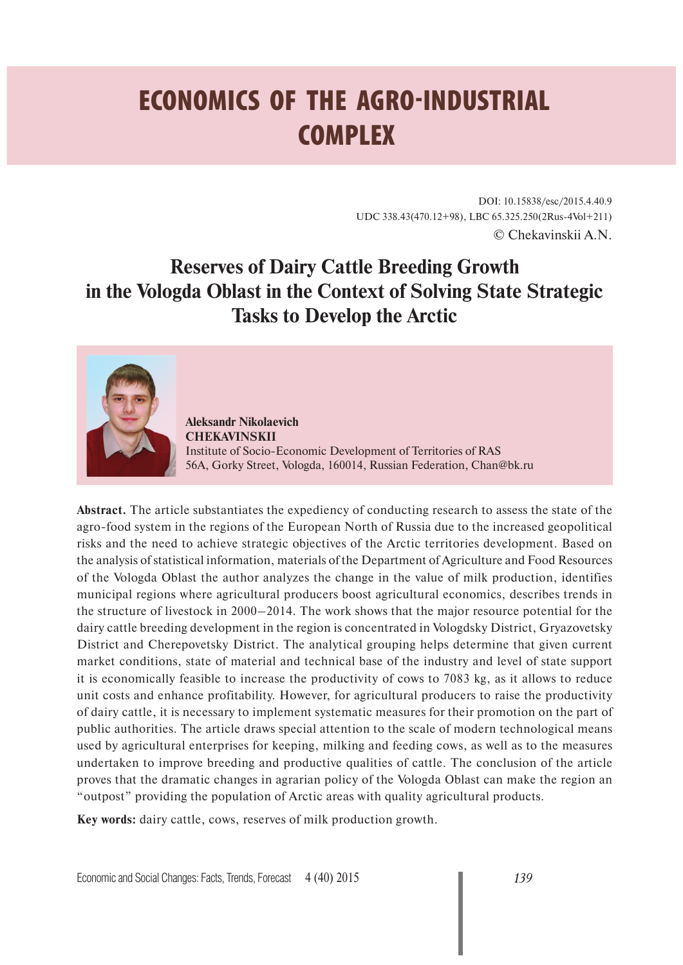# **ECONOMICS OF THE AGRO-INDUSTRIAL COMPLEX**

DOI: 10.15838/esc/2015.4.40.9 UDC 338.43(470.12+98), LBC 65.325.250(2Rus-4Vol+211) © Chekavinskii A.N.

# **Reserves of Dairy Cattle Breeding Growth in the Vologda Oblast in the Context of Solving State Strategic Tasks to Develop the Arctic**



**Aleksandr Nikolaevich CHEKAVINSKII** Institute of Socio-Economic Development of Territories of RAS 56A, Gorky Street, Vologda, 160014, Russian Federation, Chan@bk.ru

**Abstract.** The article substantiates the expediency of conducting research to assess the state of the agro-food system in the regions of the European North of Russia due to the increased geopolitical risks and the need to achieve strategic objectives of the Arctic territories development. Based on the analysis of statistical information, materials of the Department of Agriculture and Food Resources of the Vologda Oblast the author analyzes the change in the value of milk production, identifies municipal regions where agricultural producers boost agricultural economics, describes trends in the structure of livestock in 2000–2014. The work shows that the major resource potential for the dairy cattle breeding development in the region is concentrated in Vologdsky District, Gryazovetsky District and Cherepovetsky District. The analytical grouping helps determine that given current market conditions, state of material and technical base of the industry and level of state support it is economically feasible to increase the productivity of cows to 7083 kg, as it allows to reduce unit costs and enhance profitability. However, for agricultural producers to raise the productivity of dairy cattle, it is necessary to implement systematic measures for their promotion on the part of public authorities. The article draws special attention to the scale of modern technological means used by agricultural enterprises for keeping, milking and feeding cows, as well as to the measures undertaken to improve breeding and productive qualities of cattle. The conclusion of the article proves that the dramatic changes in agrarian policy of the Vologda Oblast can make the region an "outpost" providing the population of Arctic areas with quality agricultural products.

**Key words:** dairy cattle, cows, reserves of milk production growth.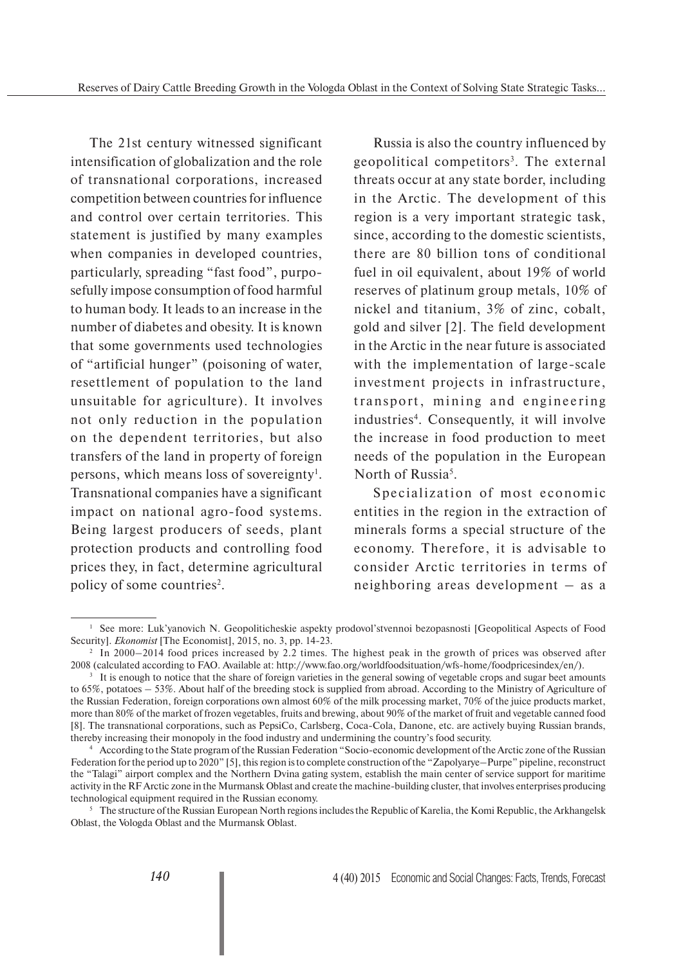The 21st century witnessed significant intensification of globalization and the role of transnational corporations, increased competition between countries for influence and control over certain territories. This statement is justified by many examples when companies in developed countries, particularly, spreading "fast food", purposefully impose consumption of food harmful to human body. It leads to an increase in the number of diabetes and obesity. It is known that some governments used technologies of "artificial hunger" (poisoning of water, resettlement of population to the land unsuitable for agriculture). It involves not only reduction in the population on the dependent territories, but also transfers of the land in property of foreign persons, which means loss of sovereignty<sup>1</sup>. Transnational companies have a significant impact on national agro-food systems. Being largest producers of seeds, plant protection products and controlling food prices they, in fact, determine agricultural policy of some countries<sup>2</sup>.

Russia is also the country influenced by geopolitical competitors<sup>3</sup>. The external threats occur at any state border, including in the Arctic. The development of this region is a very important strategic task, since, according to the domestic scientists, there are 80 billion tons of conditional fuel in oil equivalent, about 19% of world reserves of platinum group metals, 10% of nickel and titanium, 3% of zinc, cobalt, gold and silver [2]. The field development in the Arctic in the near future is associated with the implementation of large-scale investment projects in infrastructure, transport, mining and engineering industries<sup>4</sup>. Consequently, it will involve the increase in food production to meet needs of the population in the European North of Russia<sup>5</sup>.

Specialization of most economic entities in the region in the extraction of minerals forms a special structure of the economy. Therefore, it is advisable to consider Arctic territories in terms of neighboring areas development – as a

<sup>&</sup>lt;sup>1</sup> See more: Luk'yanovich N. Geopoliticheskie aspekty prodovol'stvennoi bezopasnosti [Geopolitical Aspects of Food Security]. *Ekonomist* [The Economist], 2015, no. 3, pp. 14-23.

<sup>&</sup>lt;sup>2</sup> In 2000–2014 food prices increased by 2.2 times. The highest peak in the growth of prices was observed after 2008 (calculated according to FAO. Available at: http://www.fao.org/worldfoodsituation/wfs-home/foodpricesindex/en/).

<sup>&</sup>lt;sup>3</sup> It is enough to notice that the share of foreign varieties in the general sowing of vegetable crops and sugar beet amounts to 65%, potatoes – 53%. About half of the breeding stock is supplied from abroad. According to the Ministry of Agriculture of the Russian Federation, foreign corporations own almost 60% of the milk processing market, 70% of the juice products market, more than 80% of the market of frozen vegetables, fruits and brewing, about 90% of the market of fruit and vegetable canned food [8]. The transnational corporations, such as РерsiCo, Carlsberg, Coca-Cola, Danone, etc. are actively buying Russian brands, thereby increasing their monopoly in the food industry and undermining the country's food security.

<sup>4</sup> According to the State program of the Russian Federation "Socio-economic development of the Arctic zone of the Russian Federation for the period up to 2020" [5], this region is to complete construction of the "Zapolyarye–Purpe" pipeline, reconstruct the "Talagi" airport complex and the Northern Dvina gating system, establish the main center of service support for maritime activity in the RF Arctic zone in the Murmansk Oblast and create the machine-building cluster, that involves enterprises producing technological equipment required in the Russian economy.

 $\frac{1}{2}$  The structure of the Russian European North regions includes the Republic of Karelia, the Komi Republic, the Arkhangelsk Oblast, the Vologda Oblast and the Murmansk Oblast.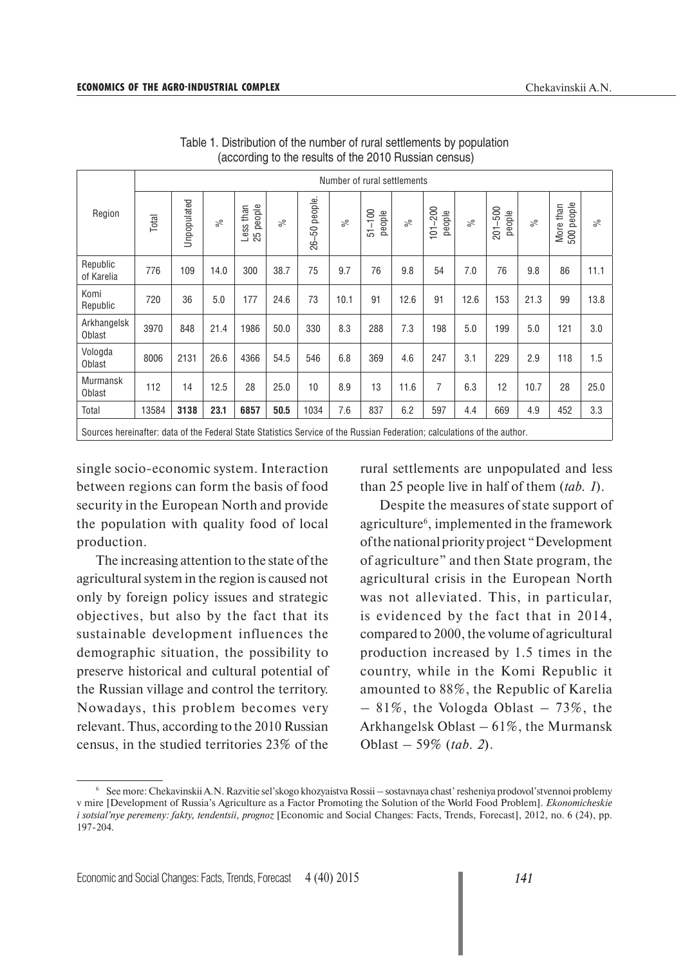|                                                                                                                          | Number of rural settlements |             |           |                        |          |                     |           |                       |           |                                |           |                       |           |                            |           |
|--------------------------------------------------------------------------------------------------------------------------|-----------------------------|-------------|-----------|------------------------|----------|---------------------|-----------|-----------------------|-----------|--------------------------------|-----------|-----------------------|-----------|----------------------------|-----------|
| Region                                                                                                                   | Total                       | Unpopulated | $\approx$ | 25 people<br>Less than | $\aleph$ | people.<br>βĢ<br>86 | $\approx$ | $-100$<br>people<br>5 | $\approx$ | 200<br>people<br>$\frac{1}{2}$ | $\approx$ | $201 - 500$<br>people | $\approx$ | people<br>More than<br>500 | $\approx$ |
| Republic<br>of Karelia                                                                                                   | 776                         | 109         | 14.0      | 300                    | 38.7     | 75                  | 9.7       | 76                    | 9.8       | 54                             | 7.0       | 76                    | 9.8       | 86                         | 11.1      |
| Komi<br>Republic                                                                                                         | 720                         | 36          | 5.0       | 177                    | 24.6     | 73                  | 10.1      | 91                    | 12.6      | 91                             | 12.6      | 153                   | 21.3      | 99                         | 13.8      |
| Arkhangelsk<br>Oblast                                                                                                    | 3970                        | 848         | 21.4      | 1986                   | 50.0     | 330                 | 8.3       | 288                   | 7.3       | 198                            | 5.0       | 199                   | 5.0       | 121                        | 3.0       |
| Vologda<br>Oblast                                                                                                        | 8006                        | 2131        | 26.6      | 4366                   | 54.5     | 546                 | 6.8       | 369                   | 4.6       | 247                            | 3.1       | 229                   | 2.9       | 118                        | 1.5       |
| <b>Murmansk</b><br>Oblast                                                                                                | 112                         | 14          | 12.5      | 28                     | 25.0     | 10                  | 8.9       | 13                    | 11.6      | 7                              | 6.3       | 12                    | 10.7      | 28                         | 25.0      |
| Total                                                                                                                    | 13584                       | 3138        | 23.1      | 6857                   | 50.5     | 1034                | 7.6       | 837                   | 6.2       | 597                            | 4.4       | 669                   | 4.9       | 452                        | 3.3       |
| Sources hereinafter: data of the Federal State Statistics Service of the Russian Federation; calculations of the author. |                             |             |           |                        |          |                     |           |                       |           |                                |           |                       |           |                            |           |

Table 1. Distribution of the number of rural settlements by population (according to the results of the 2010 Russian census)

single socio-economic system. Interaction between regions can form the basis of food security in the European North and provide the population with quality food of local production.

The increasing attention to the state of the agricultural system in the region is caused not only by foreign policy issues and strategic objectives, but also by the fact that its sustainable development influences the demographic situation, the possibility to preserve historical and cultural potential of the Russian village and control the territory. Nowadays, this problem becomes very relevant. Thus, according to the 2010 Russian census, in the studied territories 23% of the

rural settlements are unpopulated and less than 25 people live in half of them (*tab. 1*).

Despite the measures of state support of agriculture<sup>6</sup>, implemented in the framework of the national priority project "Development of agriculture" and then State program, the agricultural crisis in the European North was not alleviated. This, in particular, is evidenced by the fact that in 2014, compared to 2000, the volume of agricultural production increased by 1.5 times in the country, while in the Komi Republic it amounted to 88%, the Republic of Karelia  $-81\%$ , the Vologda Oblast  $-73\%$ , the Arkhangelsk Oblast – 61%, the Murmansk Oblast – 59% (*tab. 2*).

<sup>6</sup> See more: Chekavinskii A.N. Razvitie sel'skogo khozyaistva Rossii – sostavnaya chast' resheniya prodovol'stvennoi problemy v mire [Development of Russia's Agriculture as a Factor Promoting the Solution of the World Food Problem]. *Ekonomicheskie i sotsial'nye peremeny: fakty, tendentsii, prognoz* [Economic and Social Changes: Facts, Trends, Forecast], 2012, no. 6 (24), pp. 197-204.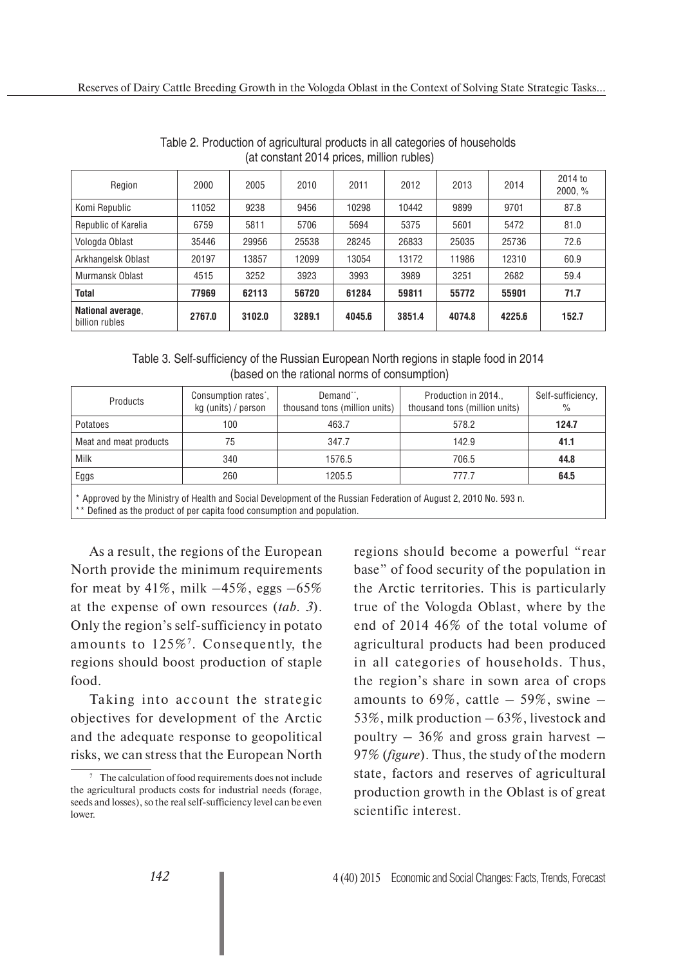| Region                              | 2000   | 2005   | 2010   | 2011   | 2012   | 2013   | 2014   | 2014 to<br>2000, % |
|-------------------------------------|--------|--------|--------|--------|--------|--------|--------|--------------------|
| Komi Republic                       | 11052  | 9238   | 9456   | 10298  | 10442  | 9899   | 9701   | 87.8               |
| Republic of Karelia                 | 6759   | 5811   | 5706   | 5694   | 5375   | 5601   | 5472   | 81.0               |
| Vologda Oblast                      | 35446  | 29956  | 25538  | 28245  | 26833  | 25035  | 25736  | 72.6               |
| Arkhangelsk Oblast                  | 20197  | 13857  | 12099  | 13054  | 13172  | 11986  | 12310  | 60.9               |
| Murmansk Oblast                     | 4515   | 3252   | 3923   | 3993   | 3989   | 3251   | 2682   | 59.4               |
| <b>Total</b>                        | 77969  | 62113  | 56720  | 61284  | 59811  | 55772  | 55901  | 71.7               |
| National average,<br>billion rubles | 2767.0 | 3102.0 | 3289.1 | 4045.6 | 3851.4 | 4074.8 | 4225.6 | 152.7              |

Table 2. Production of agricultural products in all categories of households (at constant 2014 prices, million rubles)

Table 3. Self-sufficiency of the Russian European North regions in staple food in 2014 (based on the rational norms of consumption)

| Products               | Demand <sup>**</sup> ,<br>Consumption rates <sup>*</sup> ,<br>thousand tons (million units)<br>kg (units) / person |        | Production in 2014.,<br>thousand tons (million units) | Self-sufficiency,<br>$\%$ |
|------------------------|--------------------------------------------------------------------------------------------------------------------|--------|-------------------------------------------------------|---------------------------|
| Potatoes               | 100                                                                                                                | 463.7  | 578.2                                                 | 124.7                     |
| Meat and meat products | 75                                                                                                                 | 347.7  | 142.9                                                 | 41.1                      |
| Milk                   | 340                                                                                                                | 1576.5 | 706.5                                                 | 44.8                      |
| Eggs                   | 260                                                                                                                | 1205.5 | 777.7                                                 | 64.5                      |
|                        |                                                                                                                    |        | * ILILER'S CHUILLO 'IN ILILER' EL 1' CALIONAMI FOO    |                           |

Approved by the Ministry of Health and Social Development of the Russian Federation of August 2, 2010 No. 593 n. \*\* Defined as the product of per capita food consumption and population.

As a result, the regions of the European North provide the minimum requirements for meat by  $41\%$ , milk  $-45\%$ , eggs  $-65\%$ at the expense of own resources (*tab. 3*). Only the region's self-sufficiency in potato amounts to 125%7. Consequently, the regions should boost production of staple food.

Taking into account the strategic objectives for development of the Arctic and the adequate response to geopolitical risks, we can stress that the European North regions should become a powerful "rear base" of food security of the population in the Arctic territories. This is particularly true of the Vologda Oblast, where by the end of 2014 46% of the total volume of agricultural products had been produced in all categories of households. Thus, the region's share in sown area of crops amounts to  $69\%$ , cattle  $-59\%$ , swine  $-$ 53%, milk production – 63%, livestock and poultry  $-36\%$  and gross grain harvest  $-$ 97% (*figure*). Thus, the study of the modern state, factors and reserves of agricultural production growth in the Oblast is of great scientific interest.

<sup>&</sup>lt;sup>7</sup> The calculation of food requirements does not include the agricultural products costs for industrial needs (forage, seeds and losses), so the real self-sufficiency level can be even lower.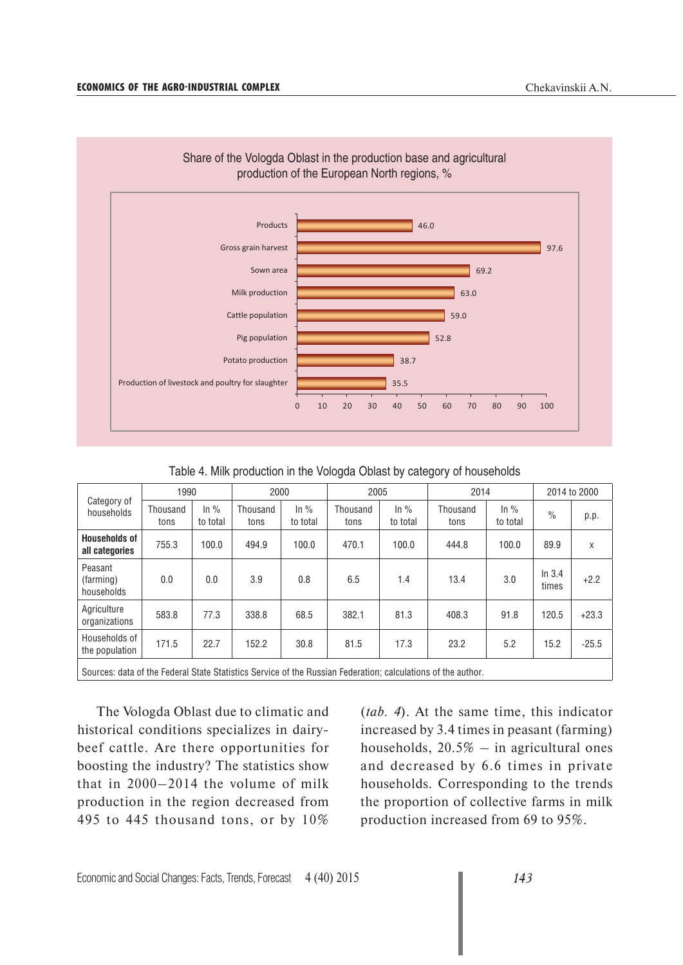

Table 4. Milk production in the Vologda Oblast by category of households

| Category of<br>households                                                                                    | 1990             |                               | 2000             |                               | 2005             |                               | 2014             |                    | 2014 to 2000    |         |
|--------------------------------------------------------------------------------------------------------------|------------------|-------------------------------|------------------|-------------------------------|------------------|-------------------------------|------------------|--------------------|-----------------|---------|
|                                                                                                              | Thousand<br>tons | $\ln \frac{9}{6}$<br>to total | Thousand<br>tons | $\ln \frac{9}{6}$<br>to total | Thousand<br>tons | $\ln \frac{9}{6}$<br>to total | Thousand<br>tons | In $%$<br>to total | $\frac{0}{0}$   | p.p.    |
| <b>Households of</b><br>all categories                                                                       | 755.3            | 100.0                         | 494.9            | 100.0                         | 470.1            | 100.0                         | 444.8            | 100.0              | 89.9            | X       |
| Peasant<br>(farming)<br>households                                                                           | 0.0              | 0.0                           | 3.9              | 0.8                           | 6.5              | 1.4                           | 13.4             | 3.0                | In 3.4<br>times | $+2.2$  |
| Agriculture<br>organizations                                                                                 | 583.8            | 77.3                          | 338.8            | 68.5                          | 382.1            | 81.3                          | 408.3            | 91.8               | 120.5           | $+23.3$ |
| Households of<br>the population                                                                              | 171.5            | 22.7                          | 152.2            | 30.8                          | 81.5             | 17.3                          | 23.2             | 5.2                | 15.2            | $-25.5$ |
| Sources: data of the Federal State Statistics Service of the Russian Federation; calculations of the author. |                  |                               |                  |                               |                  |                               |                  |                    |                 |         |

The Vologda Oblast due to climatic and historical conditions specializes in dairybeef cattle. Are there opportunities for boosting the industry? The statistics show that in 2000–2014 the volume of milk production in the region decreased from 495 to 445 thousand tons, or by 10% (*tab. 4*). At the same time, this indicator increased by 3.4 times in peasant (farming) households,  $20.5\%$  – in agricultural ones and decreased by 6.6 times in private households. Corresponding to the trends the proportion of collective farms in milk production increased from 69 to 95%.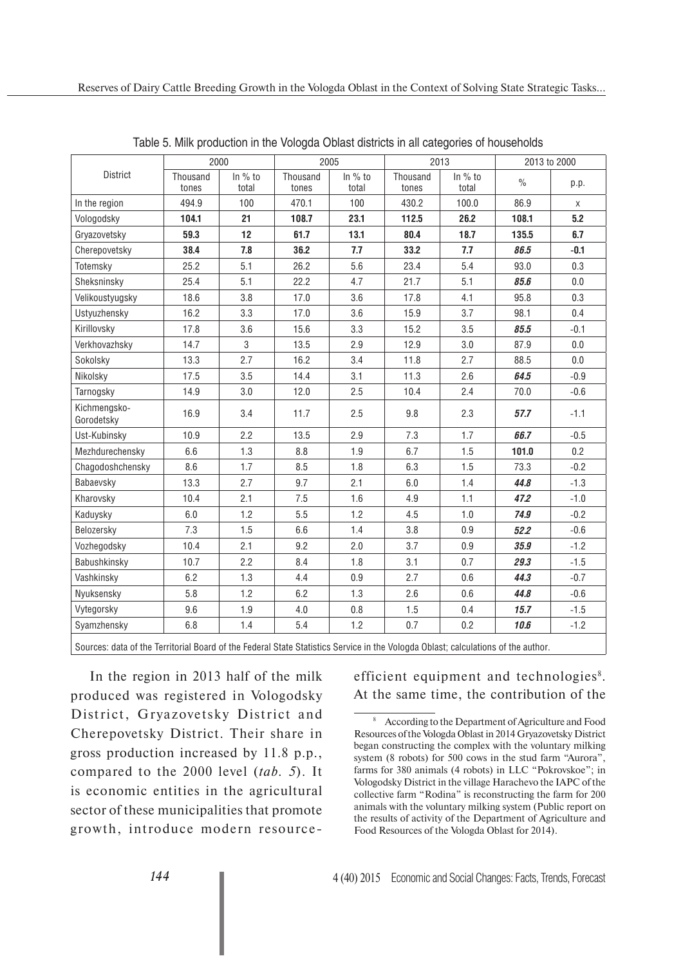|                                                                                                                                 | 2000              |                  |                   | 2005             |                   | 2013             | 2013 to 2000  |        |  |
|---------------------------------------------------------------------------------------------------------------------------------|-------------------|------------------|-------------------|------------------|-------------------|------------------|---------------|--------|--|
| District                                                                                                                        | Thousand<br>tones | In % to<br>total | Thousand<br>tones | In % to<br>total | Thousand<br>tones | In % to<br>total | $\frac{0}{0}$ | p.p.   |  |
| In the region                                                                                                                   | 494.9             | 100              | 470.1             | 100              | 430.2             | 100.0            | 86.9          | X      |  |
| Vologodsky                                                                                                                      | 104.1             | 21               | 108.7             | 23.1             | 112.5             | 26.2             | 108.1         | 5.2    |  |
| Gryazovetsky                                                                                                                    | 59.3              | 12               | 61.7              | 13.1             | 80.4              | 18.7             | 135.5         | 6.7    |  |
| Cherepovetsky                                                                                                                   | 38.4              | 7.8              | 36.2              | 7.7              | 33.2              | 7.7              | 86.5          | $-0.1$ |  |
| Totemsky                                                                                                                        | 25.2              | 5.1              | 26.2              | 5.6              | 23.4              | 5.4              | 93.0          | 0.3    |  |
| Sheksninsky                                                                                                                     | 25.4              | 5.1              | 22.2              | 4.7              | 21.7              | 5.1              | 85.6          | 0.0    |  |
| Velikoustyugsky                                                                                                                 | 18.6              | 3.8              | 17.0              | 3.6              | 17.8              | 4.1              | 95.8          | 0.3    |  |
| Ustyuzhensky                                                                                                                    | 16.2              | 3.3              | 17.0              | 3.6              | 15.9              | 3.7              | 98.1          | 0.4    |  |
| Kirillovsky                                                                                                                     | 17.8              | 3.6              | 15.6              | 3.3              | 15.2              | 3.5              | 85.5          | $-0.1$ |  |
| Verkhovazhsky                                                                                                                   | 14.7              | 3                | 13.5              | 2.9              | 12.9              | 3.0              | 87.9          | 0.0    |  |
| Sokolsky                                                                                                                        | 13.3              | 2.7              | 16.2              | 3.4              | 11.8              | 2.7              | 88.5          | 0.0    |  |
| Nikolsky                                                                                                                        | 17.5              | 3.5              | 14.4              | 3.1              | 11.3              | 2.6              | 64.5          | $-0.9$ |  |
| Tarnogsky                                                                                                                       | 14.9              | 3.0              | 12.0              | 2.5              | 10.4              | 2.4              | 70.0          | $-0.6$ |  |
| Kichmengsko-<br>Gorodetsky                                                                                                      | 16.9              | 3.4              | 11.7              | 2.5              | 9.8               | 2.3              | 57.7          | $-1.1$ |  |
| Ust-Kubinsky                                                                                                                    | 10.9              | 2.2              | 13.5              | 2.9              | 7.3               | 1.7              | 66.7          | $-0.5$ |  |
| Mezhdurechensky                                                                                                                 | 6.6               | 1.3              | 8.8               | 1.9              | 6.7               | 1.5              | 101.0         | 0.2    |  |
| Chagodoshchensky                                                                                                                | 8.6               | 1.7              | 8.5               | 1.8              | 6.3               | 1.5              | 73.3          | $-0.2$ |  |
| Babaevsky                                                                                                                       | 13.3              | 2.7              | 9.7               | 2.1              | 6.0               | 1.4              | 44.8          | $-1.3$ |  |
| Kharovsky                                                                                                                       | 10.4              | 2.1              | 7.5               | 1.6              | 4.9               | 1.1              | 47.2          | $-1.0$ |  |
| Kaduysky                                                                                                                        | 6.0               | 1.2              | 5.5               | 1.2              | 4.5               | 1.0              | 74.9          | $-0.2$ |  |
| Belozersky                                                                                                                      | 7.3               | 1.5              | 6.6               | 1.4              | 3.8               | 0.9              | 52.2          | $-0.6$ |  |
| Vozhegodsky                                                                                                                     | 10.4              | 2.1              | 9.2               | 2.0              | 3.7               | 0.9              | 35.9          | $-1.2$ |  |
| Babushkinsky                                                                                                                    | 10.7              | 2.2              | 8.4               | 1.8              | 3.1               | 0.7              | 29.3          | $-1.5$ |  |
| Vashkinsky                                                                                                                      | 6.2               | 1.3              | 4.4               | 0.9              | 2.7               | 0.6              | 44.3          | $-0.7$ |  |
| Nyuksensky                                                                                                                      | 5.8               | 1.2              | 6.2               | 1.3              | 2.6               | 0.6              | 44.8          | $-0.6$ |  |
| Vytegorsky                                                                                                                      | 9.6               | 1.9              | 4.0               | 0.8              | 1.5               | 0.4              | 15.7          | $-1.5$ |  |
| Syamzhensky                                                                                                                     | 6.8               | 1.4              | 5.4               | 1.2              | 0.7               | 0.2              | 10.6          | $-1.2$ |  |
| Courses data of the Territorial Donal of the Federal Ctate Ctatistics Comine in the Valende Oblastic selectations of the suther |                   |                  |                   |                  |                   |                  |               |        |  |

Table 5. Milk production in the Vologda Oblast districts in all categories of households

Sources: data of the Territorial Board of the Federal State Statistics Service in the Vologda Oblast; calculations of the author.

In the region in 2013 half of the milk produced was registered in Vologodsky District, Gryazovetsky District and Cherepovetsky District. Their share in gross production increased by 11.8 p.p., compared to the 2000 level (*tab. 5*). It is economic entities in the agricultural sector of these municipalities that promote growth, introduce modern resource-

efficient equipment and technologies<sup>8</sup>. At the same time, the contribution of the

<sup>8</sup> According to the Department of Agriculture and Food Resources of the Vologda Oblast in 2014 Gryazovetsky District began constructing the complex with the voluntary milking system (8 robots) for 500 cows in the stud farm "Aurora", farms for 380 animals (4 robots) in LLC "Pokrovskoe"; in Vologodsky District in the village Harachevo the IAPC of the collective farm "Rodina" is reconstructing the farm for 200 animals with the voluntary milking system (Public report on the results of activity of the Department of Agriculture and Food Resources of the Vologda Oblast for 2014).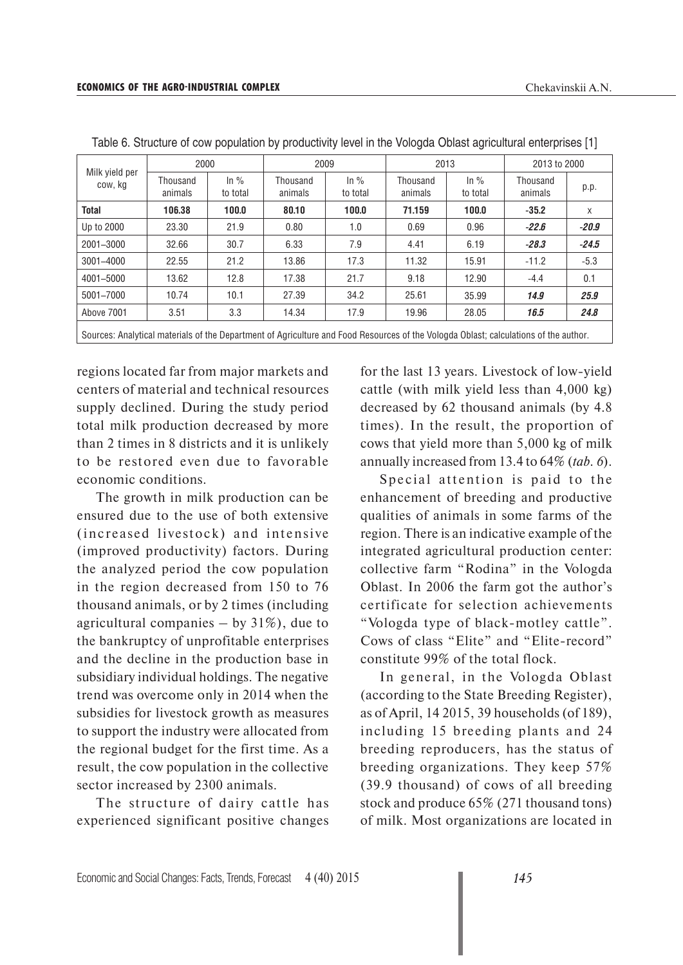| Milk yield per<br>cow, kg                                                                                                            | 2000                |                               | 2009                |                               | 2013                |                     | 2013 to 2000        |         |
|--------------------------------------------------------------------------------------------------------------------------------------|---------------------|-------------------------------|---------------------|-------------------------------|---------------------|---------------------|---------------------|---------|
|                                                                                                                                      | Thousand<br>animals | $\ln \frac{9}{6}$<br>to total | Thousand<br>animals | $\ln \frac{9}{6}$<br>to total | Thousand<br>animals | $\ln\%$<br>to total | Thousand<br>animals | p.p.    |
| Total                                                                                                                                | 106.38              | 100.0                         | 80.10               | 100.0                         | 71.159              | 100.0               | $-35.2$             | X       |
| Up to 2000                                                                                                                           | 23.30               | 21.9                          | 0.80                | 1.0                           | 0.69                | 0.96                | $-22.6$             | $-20.9$ |
| 2001-3000                                                                                                                            | 32.66               | 30.7                          | 6.33                | 7.9                           | 4.41                | 6.19                | $-28.3$             | $-24.5$ |
| 3001-4000                                                                                                                            | 22.55               | 21.2                          | 13.86               | 17.3                          | 11.32               | 15.91               | $-11.2$             | $-5.3$  |
| 4001-5000                                                                                                                            | 13.62               | 12.8                          | 17.38               | 21.7                          | 9.18                | 12.90               | $-4.4$              | 0.1     |
| 5001-7000                                                                                                                            | 10.74               | 10.1                          | 27.39               | 34.2                          | 25.61               | 35.99               | 14.9                | 25.9    |
| Above 7001                                                                                                                           | 3.51                | 3.3                           | 14.34               | 17.9                          | 19.96               | 28.05               | 16.5                | 24.8    |
| Sources: Analytical materials of the Department of Agriculture and Food Resources of the Vologda Oblast; calculations of the author. |                     |                               |                     |                               |                     |                     |                     |         |

Table 6. Structure of cow population by productivity level in the Vologda Oblast agricultural enterprises [1]

regions located far from major markets and centers of material and technical resources supply declined. During the study period total milk production decreased by more than 2 times in 8 districts and it is unlikely to be restored even due to favorable economic conditions.

The growth in milk production can be ensured due to the use of both extensive (increased livestock) and intensive (improved productivity) factors. During the analyzed period the cow population in the region decreased from 150 to 76 thousand animals, or by 2 times (including agricultural companies  $-$  by 31%), due to the bankruptcy of unprofitable enterprises and the decline in the production base in subsidiary individual holdings. The negative trend was overcome only in 2014 when the subsidies for livestock growth as measures to support the industry were allocated from the regional budget for the first time. As a result, the cow population in the collective sector increased by 2300 animals.

The structure of dairy cattle has experienced significant positive changes for the last 13 years. Livestock of low-yield cattle (with milk yield less than 4,000 kg) decreased by 62 thousand animals (by 4.8 times). In the result, the proportion of cows that yield more than 5,000 kg of milk annually increased from 13.4 to 64% (*tab. 6*).

Special attention is paid to the enhancement of breeding and productive qualities of animals in some farms of the region. There is an indicative example of the integrated agricultural production center: collective farm "Rodina" in the Vologda Oblast. In 2006 the farm got the author's certificate for selection achievements "Vologda type of black-motley cattle". Cows of class "Elite" and "Elite-record" constitute 99% of the total flock.

In general, in the Vologda Oblast (according to the State Breeding Register), as of April, 14 2015, 39 households (of 189), including 15 breeding plants and 24 breeding reproducers, has the status of breeding organizations. They keep 57% (39.9 thousand) of cows of all breeding stock and produce 65% (271 thousand tons) of milk. Most organizations are located in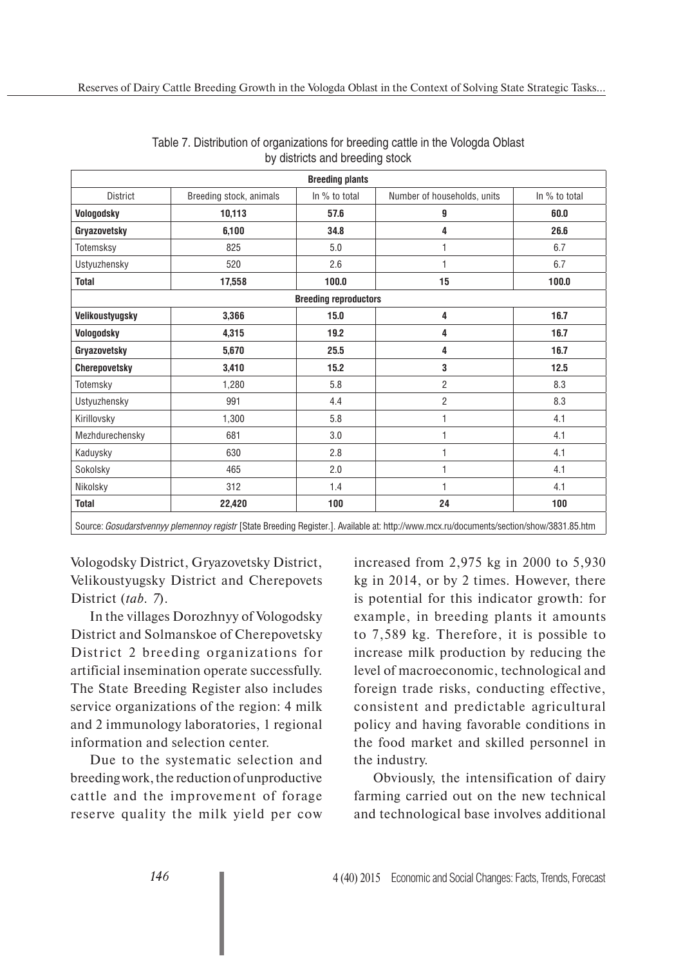| <b>Breeding plants</b>       |                         |               |                             |               |  |  |  |  |  |  |
|------------------------------|-------------------------|---------------|-----------------------------|---------------|--|--|--|--|--|--|
| <b>District</b>              | Breeding stock, animals | In % to total | Number of households, units | In % to total |  |  |  |  |  |  |
| Vologodsky                   | 10,113                  | 57.6          | 9                           | 60.0          |  |  |  |  |  |  |
| Gryazovetsky                 | 6,100                   | 34.8          | 4                           | 26.6          |  |  |  |  |  |  |
| Totemsksy                    | 825                     | 5.0           | 1                           | 6.7           |  |  |  |  |  |  |
| Ustyuzhensky                 | 520                     | 2.6           | 1                           | 6.7           |  |  |  |  |  |  |
| <b>Total</b>                 | 17,558                  | 100.0         | 15                          | 100.0         |  |  |  |  |  |  |
| <b>Breeding reproductors</b> |                         |               |                             |               |  |  |  |  |  |  |
| Velikoustyugsky              | 3,366                   | 15.0          | 4                           | 16.7          |  |  |  |  |  |  |
| Vologodsky                   | 4,315                   | 19.2          | 4                           | 16.7          |  |  |  |  |  |  |
| Gryazovetsky                 | 5,670                   | 25.5          | 4                           | 16.7          |  |  |  |  |  |  |
| <b>Cherepovetsky</b>         | 3,410                   | 15.2          | 3                           | 12.5          |  |  |  |  |  |  |
| Totemsky                     | 1,280                   | 5.8           | $\overline{c}$              | 8.3           |  |  |  |  |  |  |
| Ustyuzhensky                 | 991                     | 4.4           | $\overline{2}$              | 8.3           |  |  |  |  |  |  |
| Kirillovsky                  | 1,300                   | 5.8           |                             | 4.1           |  |  |  |  |  |  |
| Mezhdurechensky              | 681                     | 3.0           | 1                           | 4.1           |  |  |  |  |  |  |
| Kaduysky                     | 630                     | 2.8           | 1                           | 4.1           |  |  |  |  |  |  |
| Sokolsky                     | 465                     | 2.0           | 1                           | 4.1           |  |  |  |  |  |  |
| Nikolsky                     | 312                     | 1.4           | 1                           | 4.1           |  |  |  |  |  |  |
| <b>Total</b>                 | 22,420                  | 100           | 24                          | 100           |  |  |  |  |  |  |

|  | Table 7. Distribution of organizations for breeding cattle in the Vologda Oblast |  |  |  |
|--|----------------------------------------------------------------------------------|--|--|--|
|  | by districts and breeding stock                                                  |  |  |  |

Source: *Gosudarstvennyy plemennoy registr* [State Breeding Register.]. Available at: http://www.mcx.ru/documents/section/show/3831.85.htm

Vologodsky District, Gryazovetsky District, Velikoustyugsky District and Cherepovets District (*tab. 7*).

In the villages Dorozhnyy of Vologodsky District and Solmanskoe of Cherepovetsky District 2 breeding organizations for artificial insemination operate successfully. The State Breeding Register also includes service organizations of the region: 4 milk and 2 immunology laboratories, 1 regional information and selection center.

Due to the systematic selection and breeding work, the reduction of unproductive cattle and the improvement of forage reserve quality the milk yield per cow increased from 2,975 kg in 2000 to 5,930 kg in 2014, or by 2 times. However, there is potential for this indicator growth: for example, in breeding plants it amounts to 7,589 kg. Therefore, it is possible to increase milk production by reducing the level of macroeconomic, technological and foreign trade risks, conducting effective, consistent and predictable agricultural policy and having favorable conditions in the food market and skilled personnel in the industry.

Obviously, the intensification of dairy farming carried out on the new technical and technological base involves additional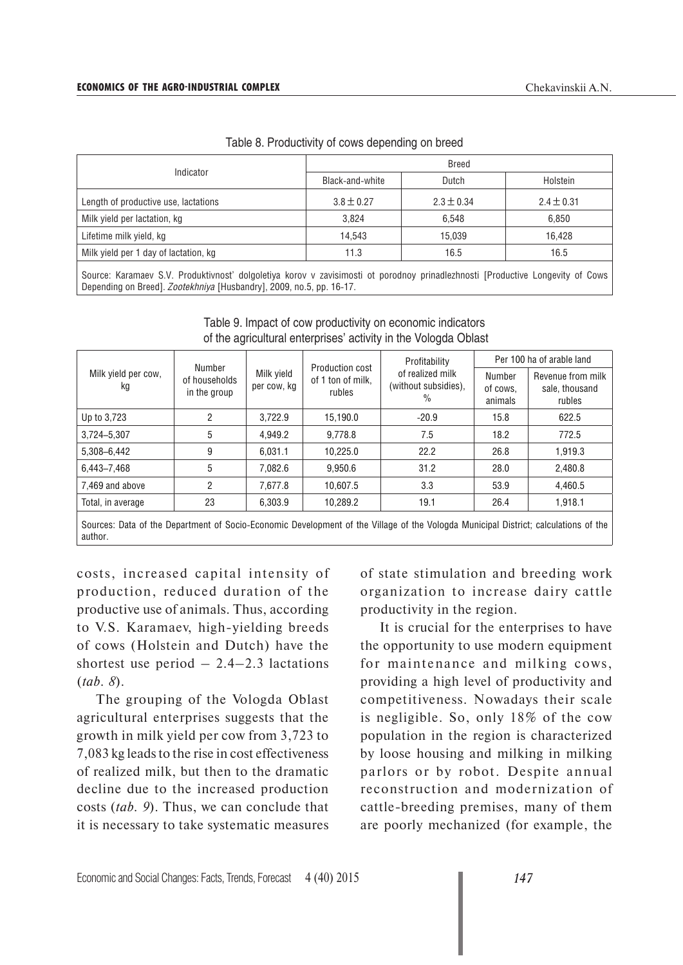| Indicator                             | <b>Breed</b>    |                |                |  |  |  |  |
|---------------------------------------|-----------------|----------------|----------------|--|--|--|--|
|                                       | Black-and-white | Dutch          | Holstein       |  |  |  |  |
| Length of productive use, lactations  | $3.8 \pm 0.27$  | $2.3 \pm 0.34$ | $2.4 \pm 0.31$ |  |  |  |  |
| Milk yield per lactation, kg          | 3.824           | 6.548          | 6.850          |  |  |  |  |
| Lifetime milk yield, kg               | 14.543          | 15.039         | 16.428         |  |  |  |  |
| Milk yield per 1 day of lactation, kg | 11.3            | 16.5           | 16.5           |  |  |  |  |

Table 8. Productivity of cows depending on breed

Source: Karamaev S.V. Produktivnost' dolgoletiya korov v zavisimosti ot porodnoy prinadlezhnosti [Productive Longevity of Cows Depending on Breed]. *Zootekhniya* [Husbandry], 2009, no.5, pp. 16-17.

|                                                                                                                                     | Number                        |                           | Production cost             | Profitability                                 | Per 100 ha of arable land     |                                               |  |
|-------------------------------------------------------------------------------------------------------------------------------------|-------------------------------|---------------------------|-----------------------------|-----------------------------------------------|-------------------------------|-----------------------------------------------|--|
| Milk yield per cow,<br>kg                                                                                                           | of households<br>in the group | Milk yield<br>per cow, kg | of 1 ton of milk.<br>rubles | of realized milk<br>(without subsidies),<br>% | Number<br>of cows.<br>animals | Revenue from milk<br>sale, thousand<br>rubles |  |
| Up to 3,723                                                                                                                         | 2                             | 3.722.9                   | 15.190.0                    | $-20.9$                                       | 15.8                          | 622.5                                         |  |
| 3,724-5,307                                                                                                                         | 5                             | 4.949.2                   | 9.778.8                     | 7.5                                           | 18.2                          | 772.5                                         |  |
| 5,308-6,442                                                                                                                         | 9                             | 6.031.1                   | 10.225.0                    | 22.2                                          | 26.8                          | 1,919.3                                       |  |
| 6,443-7,468                                                                                                                         | 5                             | 7.082.6                   | 9.950.6                     | 31.2                                          | 28.0                          | 2.480.8                                       |  |
| 7.469 and above                                                                                                                     | 2                             | 7,677.8                   | 10.607.5                    | 3.3                                           | 53.9                          | 4,460.5                                       |  |
| Total, in average                                                                                                                   | 23                            | 6.303.9                   | 10.289.2                    | 19.1                                          | 26.4                          | 1,918.1                                       |  |
| Sources: Data of the Department of Socio-Economic Development of the Village of the Vologda Municipal District: calculations of the |                               |                           |                             |                                               |                               |                                               |  |

#### Table 9. Impact of cow productivity on economic indicators of the agricultural enterprises' activity in the Vologda Oblast

Sources: Data of the Department of Socio-Economic Development of the Village of the Vologda Municipal District; calculations of the author.

costs, increased capital intensity of production, reduced duration of the productive use of animals. Thus, according to V.S. Karamaev, high-yielding breeds of cows (Holstein and Dutch) have the shortest use period  $-2.4-2.3$  lactations (*tab. 8*).

The grouping of the Vologda Oblast agricultural enterprises suggests that the growth in milk yield per cow from 3,723 to 7,083 kg leads to the rise in cost effectiveness of realized milk, but then to the dramatic decline due to the increased production costs (*tab. 9*). Thus, we can conclude that it is necessary to take systematic measures of state stimulation and breeding work organization to increase dairy cattle productivity in the region.

It is crucial for the enterprises to have the opportunity to use modern equipment for maintenance and milking cows, providing a high level of productivity and competitiveness. Nowadays their scale is negligible. So, only 18% of the cow population in the region is characterized by loose housing and milking in milking parlors or by robot. Despite annual reconstruction and modernization of cattle-breeding premises, many of them are poorly mechanized (for example, the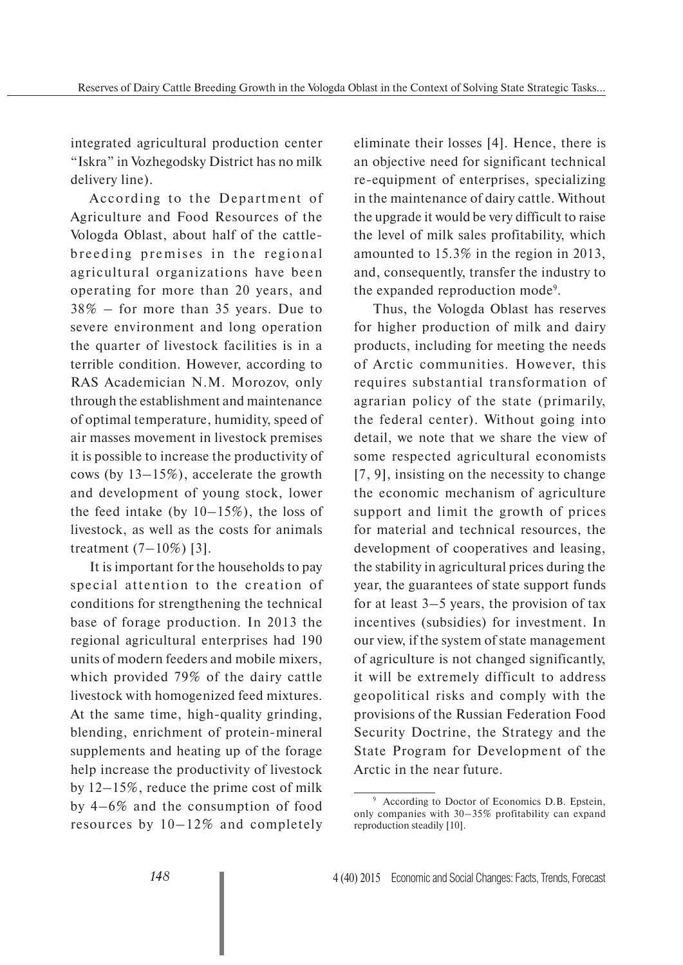integrated agricultural production center "Iskra" in Vozhegodsky District has no milk delivery line).

According to the Department of Agriculture and Food Resources of the Vologda Oblast, about half of the cattlebreeding premises in the regional agricultural organizations have been operating for more than 20 years, and 38% – for more than 35 years. Due to severe environment and long operation the quarter of livestock facilities is in a terrible condition. However, according to RAS Academician N.M. Morozov, only through the establishment and maintenance of optimal temperature, humidity, speed of air masses movement in livestock premises it is possible to increase the productivity of cows (by 13–15%), accelerate the growth and development of young stock, lower the feed intake (by  $10-15\%$ ), the loss of livestock, as well as the costs for animals treatment  $(7-10\%)$  [3].

It is important for the households to pay special attention to the creation of conditions for strengthening the technical base of forage production. In 2013 the regional agricultural enterprises had 190 units of modern feeders and mobile mixers, which provided 79% of the dairy cattle livestock with homogenized feed mixtures. At the same time, high-quality grinding, blending, enrichment of protein-mineral supplements and heating up of the forage help increase the productivity of livestock by 12–15%, reduce the prime cost of milk by 4–6% and the consumption of food resources by 10–12% and completely

eliminate their losses [4]. Hence, there is an objective need for significant technical re-equipment of enterprises, specializing in the maintenance of dairy cattle. Without the upgrade it would be very difficult to raise the level of milk sales profitability, which amounted to 15.3% in the region in 2013, and, consequently, transfer the industry to the expanded reproduction mode<sup>9</sup>.

Thus, the Vologda Oblast has reserves for higher production of milk and dairy products, including for meeting the needs of Arctic communities. However, this requires substantial transformation of agrarian policy of the state (primarily, the federal center). Without going into detail, we note that we share the view of some respected agricultural economists [7, 9], insisting on the necessity to change the economic mechanism of agriculture support and limit the growth of prices for material and technical resources, the development of cooperatives and leasing, the stability in agricultural prices during the year, the guarantees of state support funds for at least 3–5 years, the provision of tax incentives (subsidies) for investment. In our view, if the system of state management of agriculture is not changed significantly, it will be extremely difficult to address geopolitical risks and comply with the provisions of the Russian Federation Food Security Doctrine, the Strategy and the State Program for Development of the Arctic in the near future.

<sup>9</sup> According to Doctor of Economics D.B. Epstein, only companies with 30–35% profitability can expand reproduction steadily [10].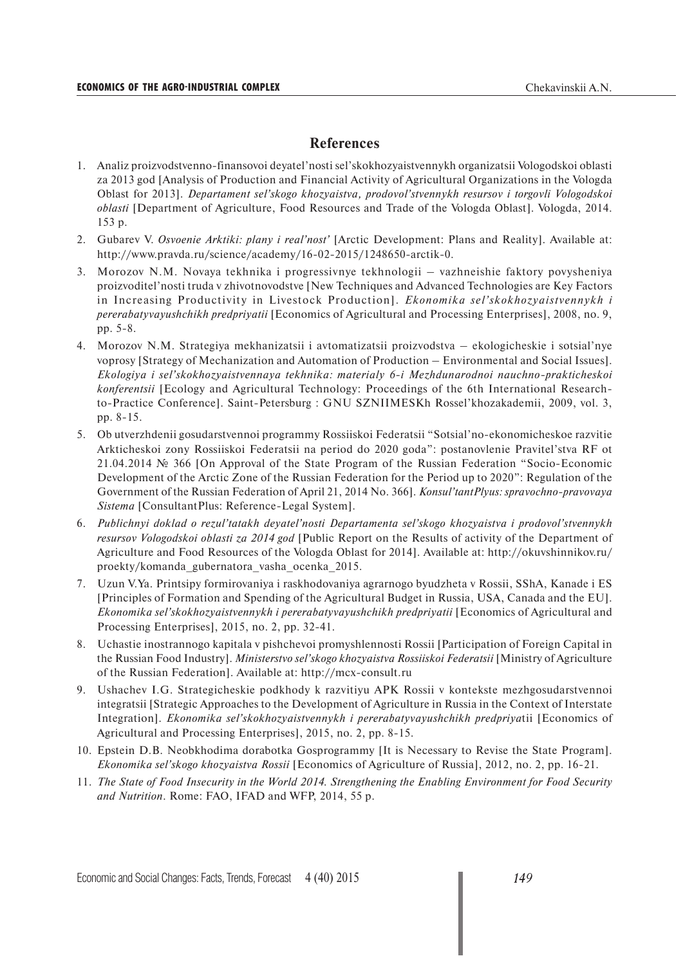#### **References**

- 1. Analiz proizvodstvenno-finansovoi deyatel'nosti sel'skokhozyaistvennykh organizatsii Vologodskoi oblasti za 2013 god [Analysis of Production and Financial Activity of Agricultural Organizations in the Vologda Oblast for 2013]. *Departament sel'skogo khozyaistva, prodovol'stvennykh resursov i torgovli Vologodskoi oblasti* [Department of Agriculture, Food Resources and Trade of the Vologda Oblast]. Vologda, 2014. 153 p.
- 2. Gubarev V. *Osvoenie Arktiki: plany i real'nost'* [Arctic Development: Plans and Reality]. Available at: http://www.pravda.ru/science/academy/16-02-2015/1248650-arctik-0.
- 3. Morozov N.M. Novaya tekhnika i progressivnye tekhnologii vazhneishie faktory povysheniya proizvoditel'nosti truda v zhivotnovodstve [New Techniques and Advanced Technologies are Key Factors in Increasing Productivity in Livestock Production]. *Ekonomika sel'skokhozyaistvennykh i pererabatyvayushchikh predpriyatii* [Economics of Agricultural and Processing Enterprises], 2008, no. 9, pp. 5-8.
- 4. Morozov N.M. Strategiya mekhanizatsii i avtomatizatsii proizvodstva ekologicheskie i sotsial'nye voprosy [Strategy of Mechanization and Automation of Production – Environmental and Social Issues]. *Ekologiya i sel'skokhozyaistvennaya tekhnika: materialy 6-i Mezhdunarodnoi nauchno-prakticheskoi konferentsii* [Ecology and Agricultural Technology: Proceedings of the 6th International Researchto-Practice Conference]. Saint-Petersburg : GNU SZNIIMESKh Rossel'khozakademii, 2009, vol. 3, pp. 8-15.
- 5. Ob utverzhdenii gosudarstvennoi programmy Rossiiskoi Federatsii "Sotsial'no-ekonomicheskoe razvitie Arkticheskoi zony Rossiiskoi Federatsii na period do 2020 goda": postanovlenie Pravitel'stva RF ot 21.04.2014 № 366 [On Approval of the State Program of the Russian Federation "Socio-Economic Development of the Arctic Zone of the Russian Federation for the Period up to 2020": Regulation of the Government of the Russian Federation of April 21, 2014 No. 366]. *Konsul'tantPlyus: spravochno-pravovaya Sistema* [ConsultantPlus: Reference-Legal System].
- 6. *Publichnyi doklad o rezul'tatakh deyatel'nosti Departamenta sel'skogo khozyaistva i prodovol'stvennykh resursov Vologodskoi oblasti za 2014 god* [Public Report on the Results of activity of the Department of Agriculture and Food Resources of the Vologda Oblast for 2014]. Available at: http://okuvshinnikov.ru/ proekty/komanda\_gubernatora\_vasha\_ocenka\_2015.
- 7. Uzun V.Ya. Printsipy formirovaniya i raskhodovaniya agrarnogo byudzheta v Rossii, SShA, Kanade i ES [Principles of Formation and Spending of the Agricultural Budget in Russia, USA, Canada and the EU]. *Ekonomika sel'skokhozyaistvennykh i pererabatyvayushchikh predpriyatii* [Economics of Agricultural and Processing Enterprises], 2015, no. 2, pp. 32-41.
- 8. Uchastie inostrannogo kapitala v pishchevoi promyshlennosti Rossii [Participation of Foreign Capital in the Russian Food Industry]. *Ministerstvo sel'skogo khozyaistva Rossiiskoi Federatsii* [Ministry of Agriculture of the Russian Federation]. Available at: http://mcx-consult.ru
- 9. Ushachev I.G. Strategicheskie podkhody k razvitiyu APK Rossii v kontekste mezhgosudarstvennoi integratsii [Strategic Approaches to the Development of Agriculture in Russia in the Context of Interstate Integration]. *Ekonomika sel'skokhozyaistvennykh i pererabatyvayushchikh predpriya*tii [Economics of Agricultural and Processing Enterprises], 2015, no. 2, pp. 8-15.
- 10. Epstein D.B. Neobkhodima dorabotka Gosprogrammy [It is Necessary to Revise the State Program]. *Ekonomika sel'skogo khozyaistva Rossii* [Economics of Agriculture of Russia], 2012, no. 2, pp. 16-21.
- 11. *The State of Food Insecurity in the World 2014. Strengthening the Enabling Environment for Food Security and Nutrition*. Rome: FAO, IFAD and WFP, 2014, 55 p.